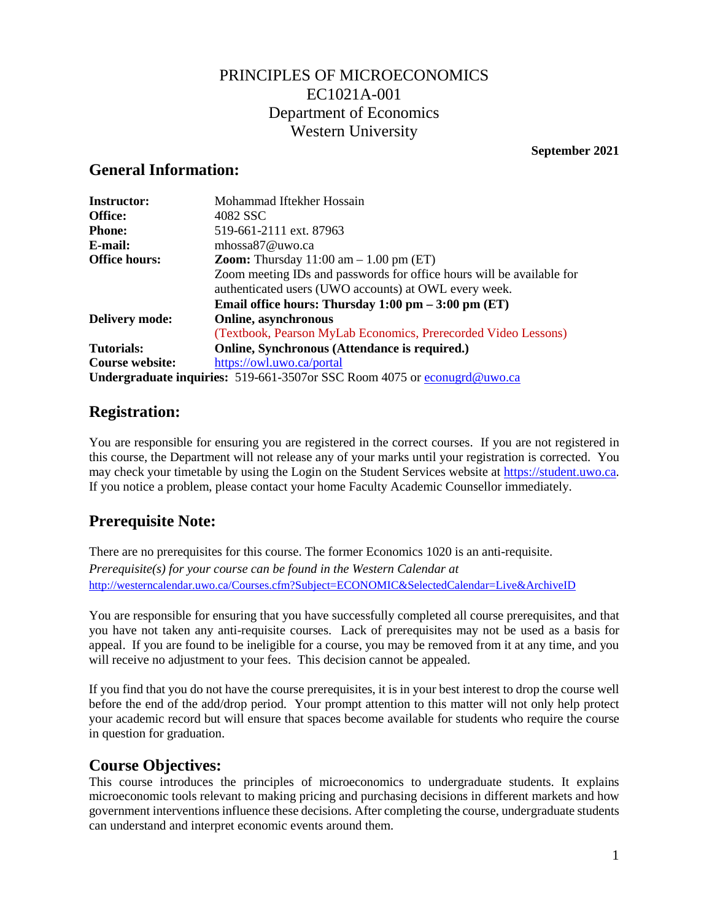## PRINCIPLES OF MICROECONOMICS EC1021A-001 Department of Economics Western University

#### **September 2021**

### **General Information:**

| <b>Instructor:</b>     | Mohammad Iftekher Hossain                                                          |
|------------------------|------------------------------------------------------------------------------------|
| Office:                | 4082 SSC                                                                           |
| <b>Phone:</b>          | 519-661-2111 ext. 87963                                                            |
| E-mail:                | mhossa $87@$ uwo.ca                                                                |
| <b>Office hours:</b>   | <b>Zoom:</b> Thursday $11:00$ am $-1.00$ pm (ET)                                   |
|                        | Zoom meeting IDs and passwords for office hours will be available for              |
|                        | authenticated users (UWO accounts) at OWL every week.                              |
|                        | Email office hours: Thursday $1:00 \text{ pm} - 3:00 \text{ pm}$ (ET)              |
| <b>Delivery mode:</b>  | Online, asynchronous                                                               |
|                        | (Textbook, Pearson MyLab Economics, Prerecorded Video Lessons)                     |
| Tutorials:             | Online, Synchronous (Attendance is required.)                                      |
| <b>Course website:</b> | https://owl.uwo.ca/portal                                                          |
|                        | <b>Undergraduate inquiries:</b> 519-661-3507 or SSC Room 4075 or econugral @uwo.ca |

### **Registration:**

You are responsible for ensuring you are registered in the correct courses. If you are not registered in this course, the Department will not release any of your marks until your registration is corrected. You may check your timetable by using the Login on the Student Services website at [https://student.uwo.ca.](about:blank) If you notice a problem, please contact your home Faculty Academic Counsellor immediately.

# **Prerequisite Note:**

There are no prerequisites for this course. The former Economics 1020 is an anti-requisite. *Prerequisite(s) for your course can be found in the Western Calendar at*  [http://westerncalendar.uwo.ca/Courses.cfm?Subject=ECONOMIC&SelectedCalendar=Live&ArchiveID](about:blank)

You are responsible for ensuring that you have successfully completed all course prerequisites, and that you have not taken any anti-requisite courses. Lack of prerequisites may not be used as a basis for appeal. If you are found to be ineligible for a course, you may be removed from it at any time, and you will receive no adjustment to your fees. This decision cannot be appealed.

If you find that you do not have the course prerequisites, it is in your best interest to drop the course well before the end of the add/drop period. Your prompt attention to this matter will not only help protect your academic record but will ensure that spaces become available for students who require the course in question for graduation.

### **Course Objectives:**

This course introduces the principles of microeconomics to undergraduate students. It explains microeconomic tools relevant to making pricing and purchasing decisions in different markets and how government interventions influence these decisions. After completing the course, undergraduate students can understand and interpret economic events around them.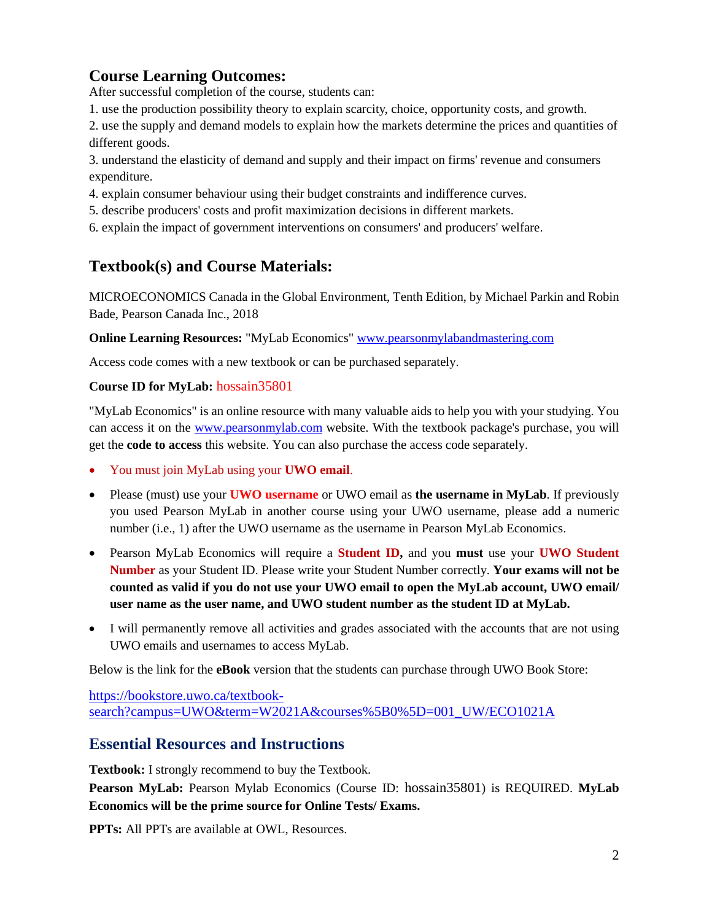# **Course Learning Outcomes:**

After successful completion of the course, students can:

1. use the production possibility theory to explain scarcity, choice, opportunity costs, and growth.

2. use the supply and demand models to explain how the markets determine the prices and quantities of different goods.

3. understand the elasticity of demand and supply and their impact on firms' revenue and consumers expenditure.

4. explain consumer behaviour using their budget constraints and indifference curves.

5. describe producers' costs and profit maximization decisions in different markets.

6. explain the impact of government interventions on consumers' and producers' welfare.

# **Textbook(s) and Course Materials:**

MICROECONOMICS Canada in the Global Environment, Tenth Edition, by Michael Parkin and Robin Bade, Pearson Canada Inc., 2018

**Online Learning Resources:** "MyLab Economics" [www.pearsonmylabandmastering.com](about:blank)

Access code comes with a new textbook or can be purchased separately.

### **Course ID for MyLab:** hossain35801

"MyLab Economics" is an online resource with many valuable aids to help you with your studying. You can access it on the [www.pearsonmylab.com](about:blank) website. With the textbook package's purchase, you will get the **code to access** this website. You can also purchase the access code separately.

- You must join MyLab using your **UWO email**.
- Please (must) use your **UWO username** or UWO email as **the username in MyLab**. If previously you used Pearson MyLab in another course using your UWO username, please add a numeric number (i.e., 1) after the UWO username as the username in Pearson MyLab Economics.
- Pearson MyLab Economics will require a **Student ID,** and you **must** use your **UWO Student Number** as your Student ID. Please write your Student Number correctly. **Your exams will not be counted as valid if you do not use your UWO email to open the MyLab account, UWO email/ user name as the user name, and UWO student number as the student ID at MyLab.**
- I will permanently remove all activities and grades associated with the accounts that are not using UWO emails and usernames to access MyLab.

Below is the link for the **eBook** version that the students can purchase through UWO Book Store:

[https://bookstore.uwo.ca/textbook](https://bookstore.uwo.ca/textbook-search?campus=UWO&term=W2021A&courses%5B0%5D=001_UW/ECO1021A)[search?campus=UWO&term=W2021A&courses%5B0%5D=001\\_UW/ECO1021A](https://bookstore.uwo.ca/textbook-search?campus=UWO&term=W2021A&courses%5B0%5D=001_UW/ECO1021A)

### **Essential Resources and Instructions**

**Textbook:** I strongly recommend to buy the Textbook.

**Pearson MyLab:** Pearson Mylab Economics (Course ID: hossain35801) is REQUIRED. **MyLab Economics will be the prime source for Online Tests/ Exams.** 

**PPTs:** All PPTs are available at OWL, Resources.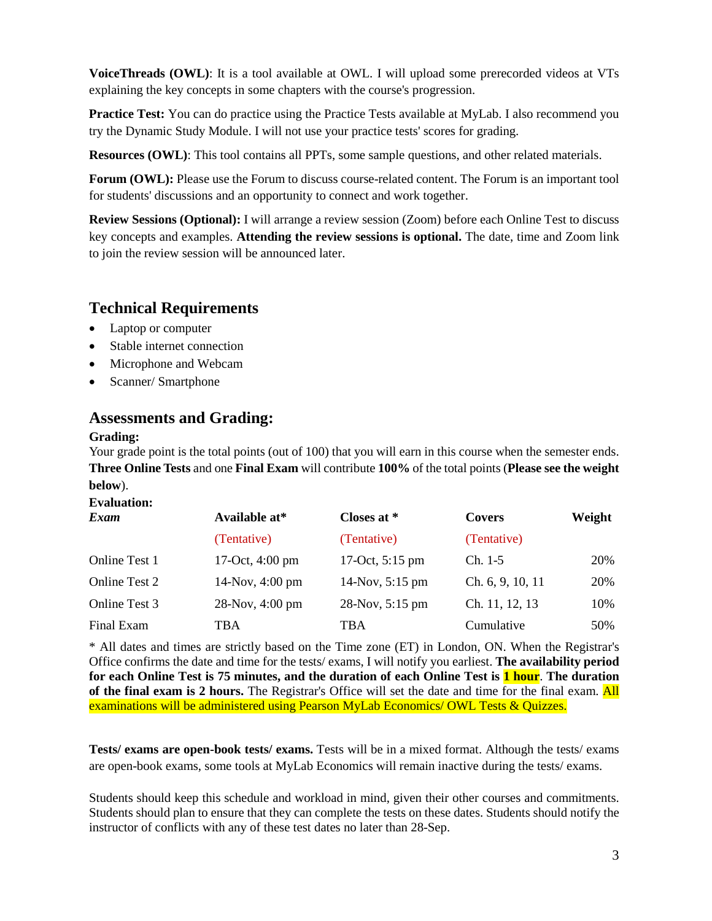**VoiceThreads (OWL)**: It is a tool available at OWL. I will upload some prerecorded videos at VTs explaining the key concepts in some chapters with the course's progression.

**Practice Test:** You can do practice using the Practice Tests available at MyLab. I also recommend you try the Dynamic Study Module. I will not use your practice tests' scores for grading.

**Resources (OWL)**: This tool contains all PPTs, some sample questions, and other related materials.

**Forum (OWL):** Please use the Forum to discuss course-related content. The Forum is an important tool for students' discussions and an opportunity to connect and work together.

**Review Sessions (Optional):** I will arrange a review session (Zoom) before each Online Test to discuss key concepts and examples. **Attending the review sessions is optional.** The date, time and Zoom link to join the review session will be announced later.

# **Technical Requirements**

- Laptop or computer
- Stable internet connection
- Microphone and Webcam
- Scanner/ Smartphone

### **Assessments and Grading:**

#### **Grading:**

Your grade point is the total points (out of 100) that you will earn in this course when the semester ends. **Three Online Tests** and one **Final Exam** will contribute **100%** of the total points (**Please see the weight below**).

#### **Evaluation:**

| Exam                 | Available at*   | Closes at *               | <b>Covers</b>    | Weight |
|----------------------|-----------------|---------------------------|------------------|--------|
|                      | (Tentative)     | (Tentative)               | (Tentative)      |        |
| Online Test 1        | 17-Oct, 4:00 pm | 17-Oct, $5:15 \text{ pm}$ | $Ch. 1-5$        | 20%    |
| <b>Online Test 2</b> | 14-Nov, 4:00 pm | 14-Nov, 5:15 pm           | Ch. 6, 9, 10, 11 | 20%    |
| Online Test 3        | 28-Nov, 4:00 pm | 28-Nov, 5:15 pm           | Ch. 11, 12, 13   | 10%    |
| Final Exam           | TBA             | TBA                       | Cumulative       | 50%    |

\* All dates and times are strictly based on the Time zone (ET) in London, ON. When the Registrar's Office confirms the date and time for the tests/ exams, I will notify you earliest. **The availability period for each Online Test is 75 minutes, and the duration of each Online Test is 1 hour**. **The duration of the final exam is 2 hours.** The Registrar's Office will set the date and time for the final exam. All examinations will be administered using Pearson MyLab Economics/ OWL Tests & Quizzes.

**Tests/ exams are open-book tests/ exams.** Tests will be in a mixed format. Although the tests/ exams are open-book exams, some tools at MyLab Economics will remain inactive during the tests/ exams.

Students should keep this schedule and workload in mind, given their other courses and commitments. Students should plan to ensure that they can complete the tests on these dates. Students should notify the instructor of conflicts with any of these test dates no later than 28-Sep.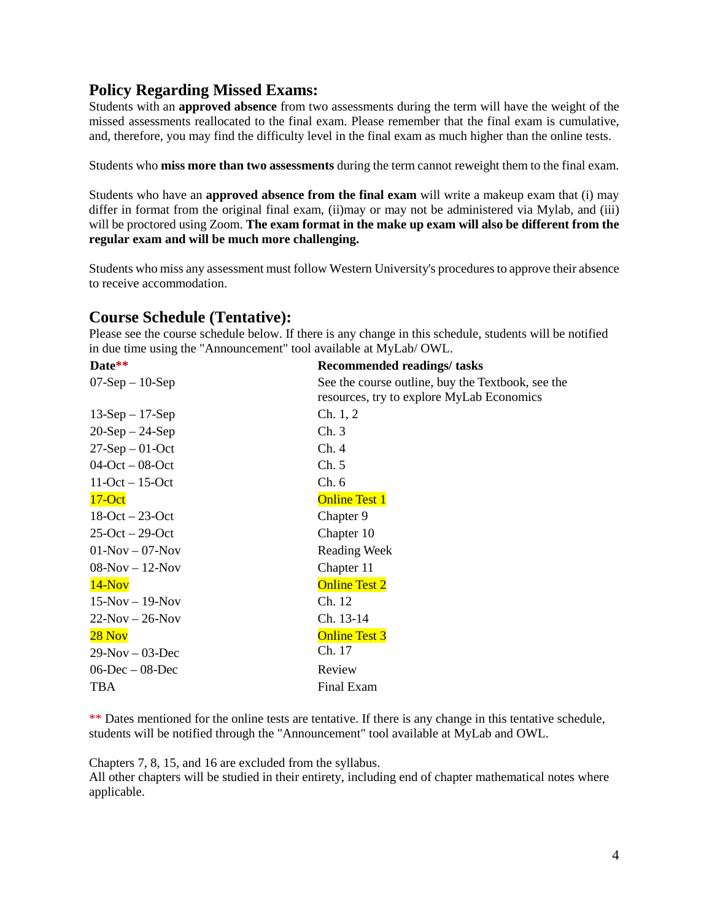## **Policy Regarding Missed Exams:**

Students with an **approved absence** from two assessments during the term will have the weight of the missed assessments reallocated to the final exam. Please remember that the final exam is cumulative, and, therefore, you may find the difficulty level in the final exam as much higher than the online tests.

Students who **miss more than two assessments** during the term cannot reweight them to the final exam.

Students who have an **approved absence from the final exam** will write a makeup exam that (i) may differ in format from the original final exam, (ii)may or may not be administered via Mylab, and (iii) will be proctored using Zoom. **The exam format in the make up exam will also be different from the regular exam and will be much more challenging.** 

Students who miss any assessment must follow Western University's procedures to approve their absence to receive accommodation.

### **Course Schedule (Tentative):**

Please see the course schedule below. If there is any change in this schedule, students will be notified in due time using the "Announcement" tool available at MyLab/ OWL.

| $\text{Date}^{**}$    | <b>Recommended readings/ tasks</b>                                                             |
|-----------------------|------------------------------------------------------------------------------------------------|
| $07-Sep-10-Sep$       | See the course outline, buy the Textbook, see the<br>resources, try to explore MyLab Economics |
| $13-Sep-17-Sep$       | Ch. 1, 2                                                                                       |
| $20-Sep-24-Sep$       | Ch.3                                                                                           |
| $27-Sep-01-Oct$       | Ch.4                                                                                           |
| $04$ -Oct – 08-Oct    | Ch. 5                                                                                          |
| $11-Oct - 15-Oct$     | Ch. 6                                                                                          |
| $17 - Oct$            | <b>Online Test 1</b>                                                                           |
| $18$ -Oct $-23$ -Oct  | Chapter 9                                                                                      |
| $25$ -Oct $- 29$ -Oct | Chapter 10                                                                                     |
| $01-Nov - 07-Nov$     | <b>Reading Week</b>                                                                            |
| $08-Nov - 12-Nov$     | Chapter 11                                                                                     |
| $14-Nov$              | <b>Online Test 2</b>                                                                           |
| $15-Nov - 19-Nov$     | Ch. 12                                                                                         |
| $22-Nov - 26-Nov$     | Ch. 13-14                                                                                      |
| $28$ Nov              | <b>Online Test 3</b>                                                                           |
| $29-Nov - 03-Dec$     | Ch. 17                                                                                         |
| $06$ -Dec $-08$ -Dec  | Review                                                                                         |
| <b>TBA</b>            | Final Exam                                                                                     |
|                       |                                                                                                |

\*\* Dates mentioned for the online tests are tentative. If there is any change in this tentative schedule, students will be notified through the "Announcement" tool available at MyLab and OWL.

Chapters 7, 8, 15, and 16 are excluded from the syllabus.

All other chapters will be studied in their entirety, including end of chapter mathematical notes where applicable.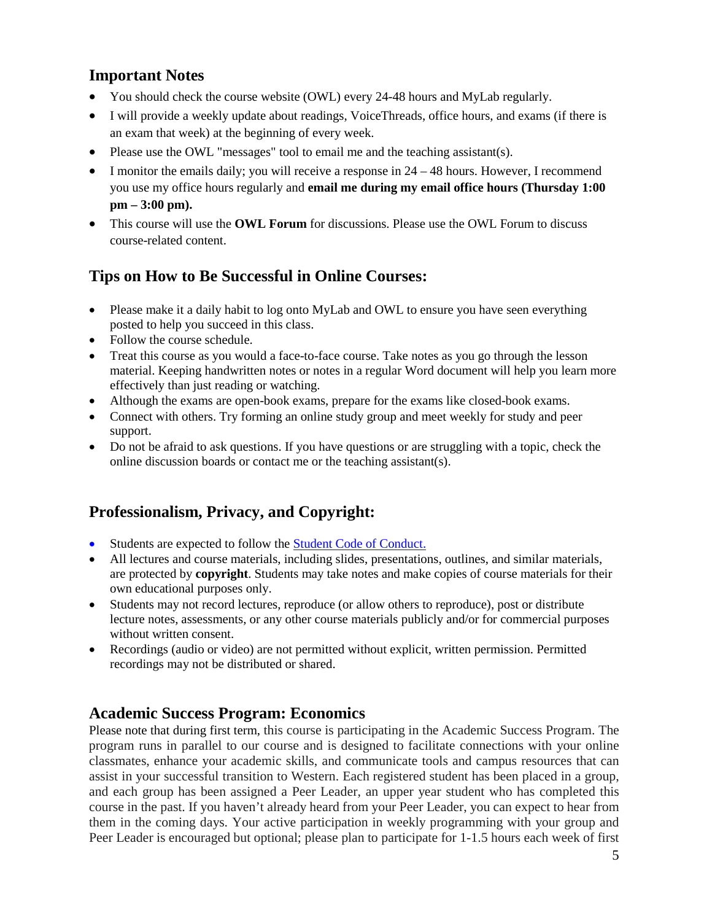# **Important Notes**

- You should check the course website (OWL) every 24-48 hours and MyLab regularly.
- I will provide a weekly update about readings, VoiceThreads, office hours, and exams (if there is an exam that week) at the beginning of every week.
- Please use the OWL "messages" tool to email me and the teaching assistant(s).
- I monitor the emails daily; you will receive a response in  $24 48$  hours. However, I recommend you use my office hours regularly and **email me during my email office hours (Thursday 1:00 pm – 3:00 pm).**
- This course will use the **OWL Forum** for discussions. Please use the OWL Forum to discuss course-related content.

# **Tips on How to Be Successful in Online Courses:**

- Please make it a daily habit to log onto MyLab and OWL to ensure you have seen everything posted to help you succeed in this class.
- Follow the course schedule.
- Treat this course as you would a face-to-face course. Take notes as you go through the lesson material. Keeping handwritten notes or notes in a regular Word document will help you learn more effectively than just reading or watching.
- Although the exams are open-book exams, prepare for the exams like closed-book exams.
- Connect with others. Try forming an online study group and meet weekly for study and peer support.
- Do not be afraid to ask questions. If you have questions or are struggling with a topic, check the online discussion boards or contact me or the teaching assistant(s).

# **Professionalism, Privacy, and Copyright:**

- Students are expected to follow the **Student Code of Conduct.**
- All lectures and course materials, including slides, presentations, outlines, and similar materials, are protected by **copyright**. Students may take notes and make copies of course materials for their own educational purposes only.
- Students may not record lectures, reproduce (or allow others to reproduce), post or distribute lecture notes, assessments, or any other course materials publicly and/or for commercial purposes without written consent.
- Recordings (audio or video) are not permitted without explicit, written permission. Permitted recordings may not be distributed or shared.

### **Academic Success Program: Economics**

Please note that during first term, this course is participating in the Academic Success Program. The program runs in parallel to our course and is designed to facilitate connections with your online classmates, enhance your academic skills, and communicate tools and campus resources that can assist in your successful transition to Western. Each registered student has been placed in a group, and each group has been assigned a Peer Leader, an upper year student who has completed this course in the past. If you haven't already heard from your Peer Leader, you can expect to hear from them in the coming days. Your active participation in weekly programming with your group and Peer Leader is encouraged but optional; please plan to participate for 1-1.5 hours each week of first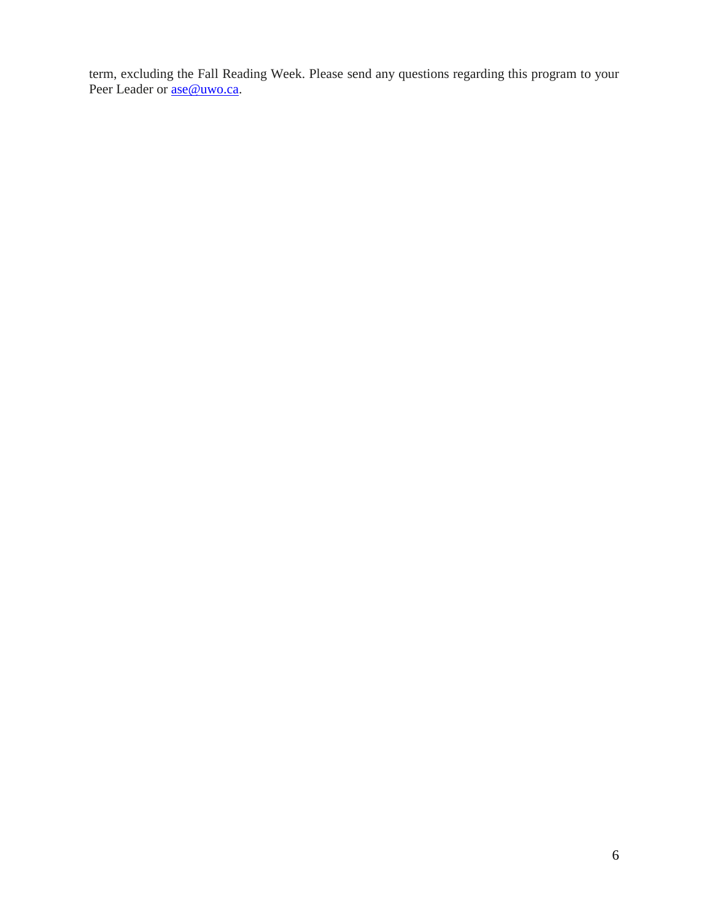term, excluding the Fall Reading Week. Please send any questions regarding this program to your Peer Leader or <u>ase@uwo.ca</u>.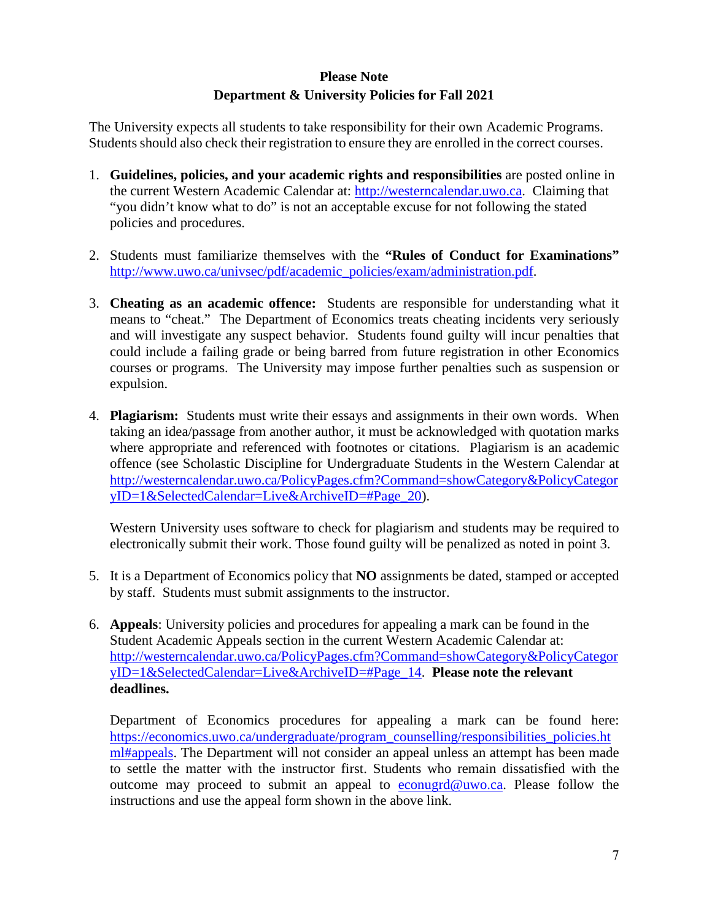### **Please Note Department & University Policies for Fall 2021**

The University expects all students to take responsibility for their own Academic Programs. Students should also check their registration to ensure they are enrolled in the correct courses.

- 1. **Guidelines, policies, and your academic rights and responsibilities** are posted online in the current Western Academic Calendar at: [http://westerncalendar.uwo.ca.](http://westerncalendar.uwo.ca/) Claiming that "you didn't know what to do" is not an acceptable excuse for not following the stated policies and procedures.
- 2. Students must familiarize themselves with the **"Rules of Conduct for Examinations"** [http://www.uwo.ca/univsec/pdf/academic\\_policies/exam/administration.pdf.](http://www.uwo.ca/univsec/pdf/academic_policies/exam/administration.pdf)
- 3. **Cheating as an academic offence:** Students are responsible for understanding what it means to "cheat." The Department of Economics treats cheating incidents very seriously and will investigate any suspect behavior. Students found guilty will incur penalties that could include a failing grade or being barred from future registration in other Economics courses or programs. The University may impose further penalties such as suspension or expulsion.
- 4. **Plagiarism:** Students must write their essays and assignments in their own words. When taking an idea/passage from another author, it must be acknowledged with quotation marks where appropriate and referenced with footnotes or citations. Plagiarism is an academic offence (see Scholastic Discipline for Undergraduate Students in the Western Calendar at [http://westerncalendar.uwo.ca/PolicyPages.cfm?Command=showCategory&PolicyCategor](http://westerncalendar.uwo.ca/PolicyPages.cfm?Command=showCategory&PolicyCategoryID=1&SelectedCalendar=Live&ArchiveID=#Page_20) [yID=1&SelectedCalendar=Live&ArchiveID=#Page\\_20\)](http://westerncalendar.uwo.ca/PolicyPages.cfm?Command=showCategory&PolicyCategoryID=1&SelectedCalendar=Live&ArchiveID=#Page_20).

Western University uses software to check for plagiarism and students may be required to electronically submit their work. Those found guilty will be penalized as noted in point 3.

- 5. It is a Department of Economics policy that **NO** assignments be dated, stamped or accepted by staff. Students must submit assignments to the instructor.
- 6. **Appeals**: University policies and procedures for appealing a mark can be found in the Student Academic Appeals section in the current Western Academic Calendar at: [http://westerncalendar.uwo.ca/PolicyPages.cfm?Command=showCategory&PolicyCategor](http://westerncalendar.uwo.ca/PolicyPages.cfm?Command=showCategory&PolicyCategoryID=1&SelectedCalendar=Live&ArchiveID=#Page_14) [yID=1&SelectedCalendar=Live&ArchiveID=#Page\\_14.](http://westerncalendar.uwo.ca/PolicyPages.cfm?Command=showCategory&PolicyCategoryID=1&SelectedCalendar=Live&ArchiveID=#Page_14) **Please note the relevant deadlines.**

Department of Economics procedures for appealing a mark can be found here: [https://economics.uwo.ca/undergraduate/program\\_counselling/responsibilities\\_policies.ht](https://economics.uwo.ca/undergraduate/program_counselling/responsibilities_policies.html#appeals) [ml#appeals.](https://economics.uwo.ca/undergraduate/program_counselling/responsibilities_policies.html#appeals) The Department will not consider an appeal unless an attempt has been made to settle the matter with the instructor first. Students who remain dissatisfied with the outcome may proceed to submit an appeal to [econugrd@uwo.ca.](mailto:econugrd@uwo.ca) Please follow the instructions and use the appeal form shown in the above link.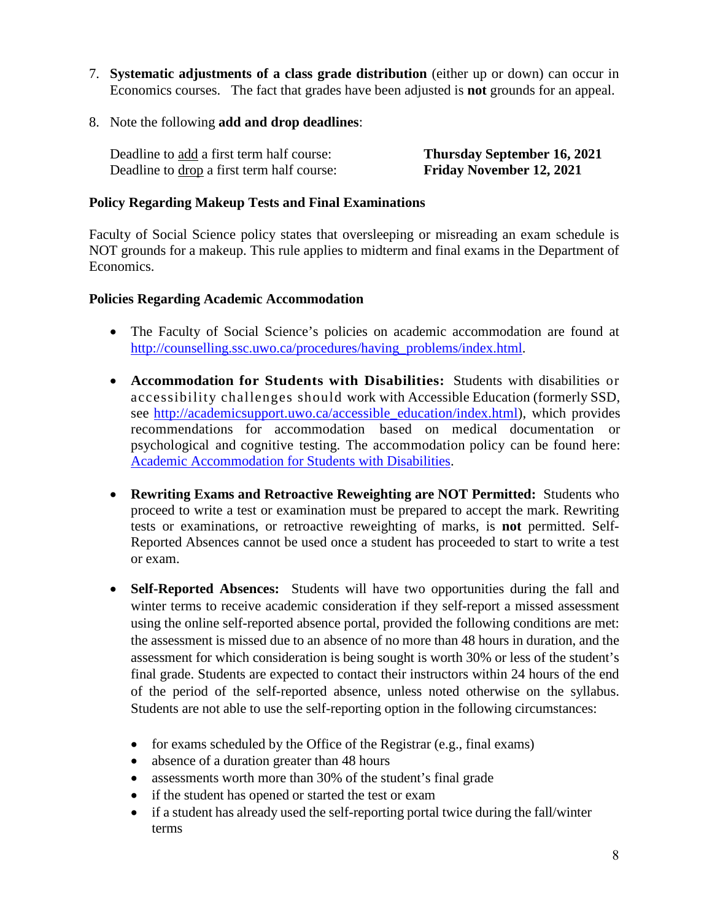- 7. **Systematic adjustments of a class grade distribution** (either up or down) can occur in Economics courses. The fact that grades have been adjusted is **not** grounds for an appeal.
- 8. Note the following **add and drop deadlines**:

Deadline to add a first term half course: **Thursday September 16, 2021**  Deadline to drop a first term half course: **Friday November 12, 2021** 

### **Policy Regarding Makeup Tests and Final Examinations**

Faculty of Social Science policy states that oversleeping or misreading an exam schedule is NOT grounds for a makeup. This rule applies to midterm and final exams in the Department of Economics.

### **Policies Regarding Academic Accommodation**

- The Faculty of Social Science's policies on academic accommodation are found at [http://counselling.ssc.uwo.ca/procedures/having\\_problems/index.html.](http://counselling.ssc.uwo.ca/procedures/having_problems/index.html)
- **Accommodation for Students with Disabilities:** Students with disabilities or accessibility challenges should work with Accessible Education (formerly SSD, see [http://academicsupport.uwo.ca/accessible\\_education/index.html\)](http://academicsupport.uwo.ca/accessible_education/index.html), which provides recommendations for accommodation based on medical documentation or psychological and cognitive testing. The accommodation policy can be found here: [Academic Accommodation for Students with Disabilities.](https://www.uwo.ca/univsec/pdf/academic_policies/appeals/Academic%20Accommodation_disabilities.pdf)
- **Rewriting Exams and Retroactive Reweighting are NOT Permitted:** Students who proceed to write a test or examination must be prepared to accept the mark. Rewriting tests or examinations, or retroactive reweighting of marks, is **not** permitted. Self-Reported Absences cannot be used once a student has proceeded to start to write a test or exam.
- **Self-Reported Absences:** Students will have two opportunities during the fall and winter terms to receive academic consideration if they self-report a missed assessment using the online self-reported absence portal, provided the following conditions are met: the assessment is missed due to an absence of no more than 48 hours in duration, and the assessment for which consideration is being sought is worth 30% or less of the student's final grade. Students are expected to contact their instructors within 24 hours of the end of the period of the self-reported absence, unless noted otherwise on the syllabus. Students are not able to use the self-reporting option in the following circumstances:
	- for exams scheduled by the Office of the Registrar (e.g., final exams)
	- absence of a duration greater than 48 hours
	- assessments worth more than 30% of the student's final grade
	- if the student has opened or started the test or exam
	- if a student has already used the self-reporting portal twice during the fall/winter terms